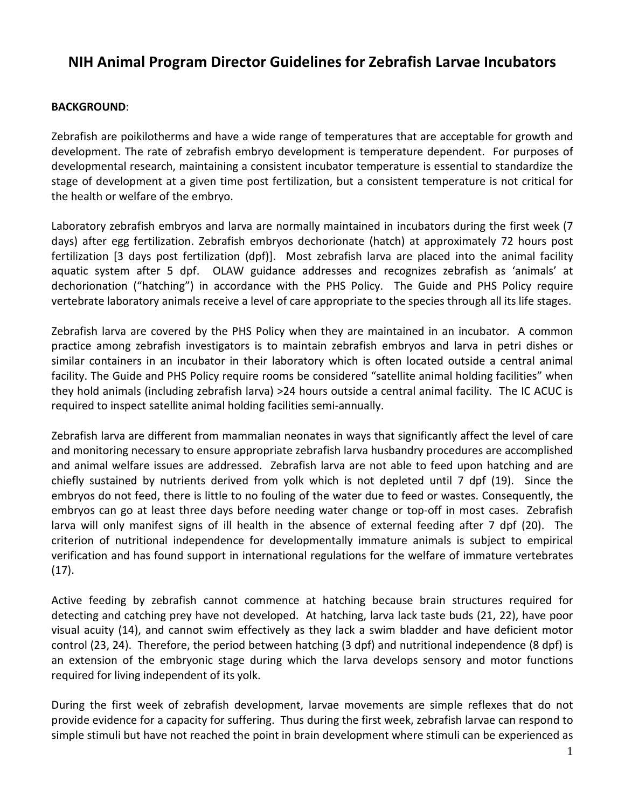## **NIH Animal Program Director Guidelines for Zebrafish Larvae Incubators**

## **BACKGROUND**:

Zebrafish are poikilotherms and have a wide range of temperatures that are acceptable for growth and development. The rate of zebrafish embryo development is temperature dependent. For purposes of developmental research, maintaining a consistent incubator temperature is essential to standardize the stage of development at a given time post fertilization, but a consistent temperature is not critical for the health or welfare of the embryo.

Laboratory zebrafish embryos and larva are normally maintained in incubators during the first week (7 days) after egg fertilization. Zebrafish embryos dechorionate (hatch) at approximately 72 hours post fertilization [3 days post fertilization (dpf)]. Most zebrafish larva are placed into the animal facility aquatic system after 5 dpf. OLAW guidance addresses and recognizes zebrafish as 'animals' at dechorionation ("hatching") in accordance with the PHS Policy. The Guide and PHS Policy require vertebrate laboratory animals receive a level of care appropriate to the species through all its life stages.

Zebrafish larva are covered by the PHS Policy when they are maintained in an incubator. A common practice among zebrafish investigators is to maintain zebrafish embryos and larva in petri dishes or similar containers in an incubator in their laboratory which is often located outside a central animal facility. The Guide and PHS Policy require rooms be considered "satellite animal holding facilities" when they hold animals (including zebrafish larva) >24 hours outside a central animal facility. The IC ACUC is required to inspect satellite animal holding facilities semi-annually.

Zebrafish larva are different from mammalian neonates in ways that significantly affect the level of care and monitoring necessary to ensure appropriate zebrafish larva husbandry procedures are accomplished and animal welfare issues are addressed. Zebrafish larva are not able to feed upon hatching and are chiefly sustained by nutrients derived from yolk which is not depleted until 7 dpf (19). Since the embryos do not feed, there is little to no fouling of the water due to feed or wastes. Consequently, the embryos can go at least three days before needing water change or top-off in most cases. Zebrafish larva will only manifest signs of ill health in the absence of external feeding after 7 dpf (20). The criterion of nutritional independence for developmentally immature animals is subject to empirical verification and has found support in international regulations for the welfare of immature vertebrates (17).

Active feeding by zebrafish cannot commence at hatching because brain structures required for detecting and catching prey have not developed. At hatching, larva lack taste buds (21, 22), have poor visual acuity (14), and cannot swim effectively as they lack a swim bladder and have deficient motor control (23, 24). Therefore, the period between hatching (3 dpf) and nutritional independence (8 dpf) is an extension of the embryonic stage during which the larva develops sensory and motor functions required for living independent of its yolk.

During the first week of zebrafish development, larvae movements are simple reflexes that do not provide evidence for a capacity for suffering. Thus during the first week, zebrafish larvae can respond to simple stimuli but have not reached the point in brain development where stimuli can be experienced as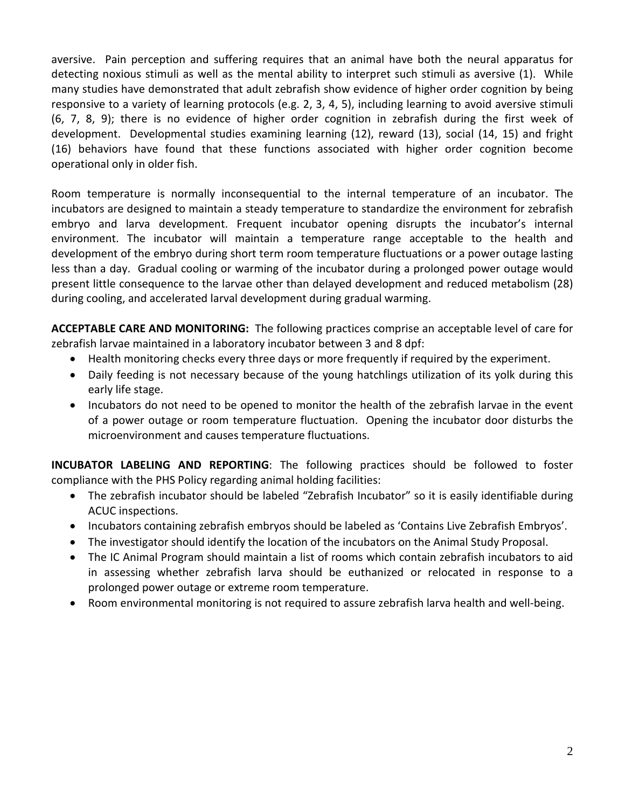aversive. Pain perception and suffering requires that an animal have both the neural apparatus for detecting noxious stimuli as well as the mental ability to interpret such stimuli as aversive (1). While many studies have demonstrated that adult zebrafish show evidence of higher order cognition by being responsive to a variety of learning protocols (e.g. 2, 3, 4, 5), including learning to avoid aversive stimuli (6, 7, 8, 9); there is no evidence of higher order cognition in zebrafish during the first week of development. Developmental studies examining learning (12), reward (13), social (14, 15) and fright (16) behaviors have found that these functions associated with higher order cognition become operational only in older fish.

Room temperature is normally inconsequential to the internal temperature of an incubator. The incubators are designed to maintain a steady temperature to standardize the environment for zebrafish embryo and larva development. Frequent incubator opening disrupts the incubator's internal environment. The incubator will maintain a temperature range acceptable to the health and development of the embryo during short term room temperature fluctuations or a power outage lasting less than a day. Gradual cooling or warming of the incubator during a prolonged power outage would present little consequence to the larvae other than delayed development and reduced metabolism (28) during cooling, and accelerated larval development during gradual warming.

**ACCEPTABLE CARE AND MONITORING:** The following practices comprise an acceptable level of care for zebrafish larvae maintained in a laboratory incubator between 3 and 8 dpf:

- Health monitoring checks every three days or more frequently if required by the experiment.
- Daily feeding is not necessary because of the young hatchlings utilization of its yolk during this early life stage.
- Incubators do not need to be opened to monitor the health of the zebrafish larvae in the event of a power outage or room temperature fluctuation. Opening the incubator door disturbs the microenvironment and causes temperature fluctuations.

**INCUBATOR LABELING AND REPORTING**: The following practices should be followed to foster compliance with the PHS Policy regarding animal holding facilities:

- The zebrafish incubator should be labeled "Zebrafish Incubator" so it is easily identifiable during ACUC inspections.
- Incubators containing zebrafish embryos should be labeled as 'Contains Live Zebrafish Embryos'.
- The investigator should identify the location of the incubators on the Animal Study Proposal.
- The IC Animal Program should maintain a list of rooms which contain zebrafish incubators to aid in assessing whether zebrafish larva should be euthanized or relocated in response to a prolonged power outage or extreme room temperature.
- Room environmental monitoring is not required to assure zebrafish larva health and well-being.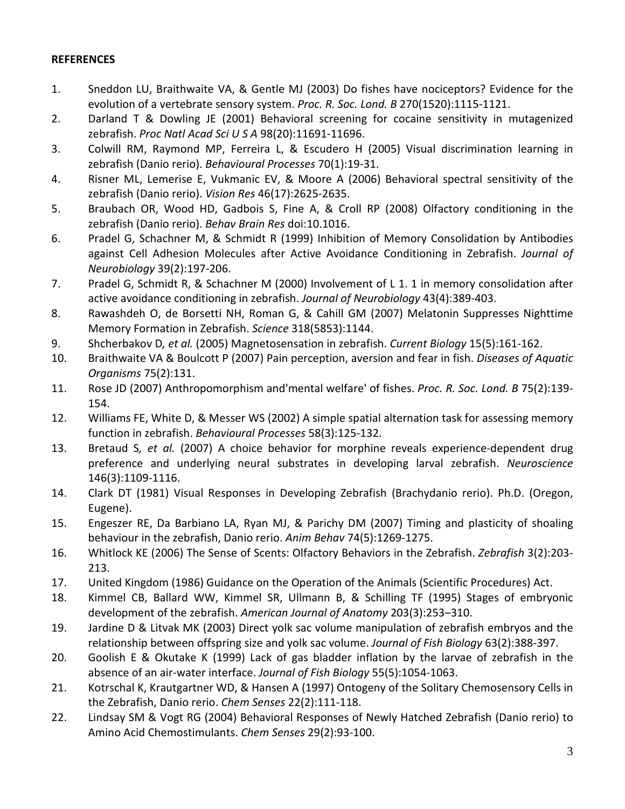## **REFERENCES**

- 1. Sneddon LU, Braithwaite VA, & Gentle MJ (2003) Do fishes have nociceptors? Evidence for the evolution of a vertebrate sensory system. *Proc. R. Soc. Lond. B* 270(1520):1115-1121.
- 2. Darland T & Dowling JE (2001) Behavioral screening for cocaine sensitivity in mutagenized zebrafish. *Proc Natl Acad Sci U S A* 98(20):11691-11696.
- 3. Colwill RM, Raymond MP, Ferreira L, & Escudero H (2005) Visual discrimination learning in zebrafish (Danio rerio). *Behavioural Processes* 70(1):19-31.
- 4. Risner ML, Lemerise E, Vukmanic EV, & Moore A (2006) Behavioral spectral sensitivity of the zebrafish (Danio rerio). *Vision Res* 46(17):2625-2635.
- 5. Braubach OR, Wood HD, Gadbois S, Fine A, & Croll RP (2008) Olfactory conditioning in the zebrafish (Danio rerio). *Behav Brain Res* doi:10.1016.
- 6. Pradel G, Schachner M, & Schmidt R (1999) Inhibition of Memory Consolidation by Antibodies against Cell Adhesion Molecules after Active Avoidance Conditioning in Zebrafish. *Journal of Neurobiology* 39(2):197-206.
- 7. Pradel G, Schmidt R, & Schachner M (2000) Involvement of L 1. 1 in memory consolidation after active avoidance conditioning in zebrafish. *Journal of Neurobiology* 43(4):389-403.
- 8. Rawashdeh O, de Borsetti NH, Roman G, & Cahill GM (2007) Melatonin Suppresses Nighttime Memory Formation in Zebrafish. *Science* 318(5853):1144.
- 9. Shcherbakov D*, et al.* (2005) Magnetosensation in zebrafish. *Current Biology* 15(5):161-162.
- 10. Braithwaite VA & Boulcott P (2007) Pain perception, aversion and fear in fish. *Diseases of Aquatic Organisms* 75(2):131.
- 11. Rose JD (2007) Anthropomorphism and'mental welfare' of fishes. *Proc. R. Soc. Lond. B* 75(2):139- 154.
- 12. Williams FE, White D, & Messer WS (2002) A simple spatial alternation task for assessing memory function in zebrafish. *Behavioural Processes* 58(3):125-132.
- 13. Bretaud S*, et al.* (2007) A choice behavior for morphine reveals experience-dependent drug preference and underlying neural substrates in developing larval zebrafish. *Neuroscience* 146(3):1109-1116.
- 14. Clark DT (1981) Visual Responses in Developing Zebrafish (Brachydanio rerio). Ph.D. (Oregon, Eugene).
- 15. Engeszer RE, Da Barbiano LA, Ryan MJ, & Parichy DM (2007) Timing and plasticity of shoaling behaviour in the zebrafish, Danio rerio. *Anim Behav* 74(5):1269-1275.
- 16. Whitlock KE (2006) The Sense of Scents: Olfactory Behaviors in the Zebrafish. *Zebrafish* 3(2):203- 213.
- 17. United Kingdom (1986) Guidance on the Operation of the Animals (Scientific Procedures) Act.
- 18. Kimmel CB, Ballard WW, Kimmel SR, Ullmann B, & Schilling TF (1995) Stages of embryonic development of the zebrafish. *American Journal of Anatomy* 203(3):253–310.
- 19. Jardine D & Litvak MK (2003) Direct yolk sac volume manipulation of zebrafish embryos and the relationship between offspring size and yolk sac volume. *Journal of Fish Biology* 63(2):388-397.
- 20. Goolish E & Okutake K (1999) Lack of gas bladder inflation by the larvae of zebrafish in the absence of an air-water interface. *Journal of Fish Biology* 55(5):1054-1063.
- 21. Kotrschal K, Krautgartner WD, & Hansen A (1997) Ontogeny of the Solitary Chemosensory Cells in the Zebrafish, Danio rerio. *Chem Senses* 22(2):111-118.
- 22. Lindsay SM & Vogt RG (2004) Behavioral Responses of Newly Hatched Zebrafish (Danio rerio) to Amino Acid Chemostimulants. *Chem Senses* 29(2):93-100.